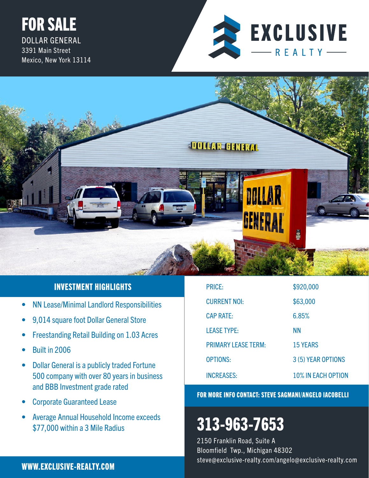## FOR SALE DOLLAR GENERAL 3391 Main Street Mexico, New York 13114





## INVESTMENT HIGHLIGHTS

- NN Lease/Minimal Landlord Responsibilities
- 9,014 square foot Dollar General Store
- Freestanding Retail Building on 1.03 Acres
- Built in 2006
- Dollar General is a publicly traded Fortune 500 company with over 80 years in business and BBB Investment grade rated
- Corporate Guaranteed Lease
- Average Annual Household Income exceeds \$77,000 within a 3 Mile Radius

| <b>PRICE:</b>              | \$920,000                 |
|----------------------------|---------------------------|
| <b>CURRENT NOI:</b>        | \$63,000                  |
| <b>CAP RATE:</b>           | 6.85%                     |
| <b>LEASE TYPE:</b>         | ΝN                        |
| <b>PRIMARY LEASE TERM:</b> | <b>15 YEARS</b>           |
| <b>OPTIONS:</b>            | 3 (5) YEAR OPTIONS        |
| <b>INCREASES:</b>          | <b>10% IN EACH OPTION</b> |

## FOR MORE INFO CONTACT: STEVE SAGMANI/ANGELO IACOBELLI

# 313-963-7653

2150 Franklin Road, Suite A Bloomfield Twp., Michigan 48302 steve@exclusive-realty.com/angelo@exclusive-realty.com WWW.EXCLUSIVE-REALTY.COM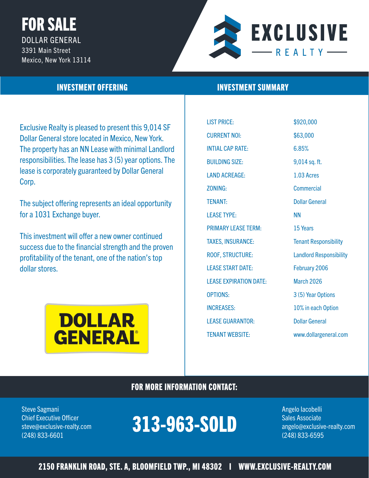# FOR SALE DOLLAR GENERAL 3391 Main Street Mexico, New York 13114



Exclusive Realty is pleased to present this 9,014 SF Dollar General store located in Mexico, New York. The property has an NN Lease with minimal Landlord responsibilities. The lease has 3 (5) year options. The lease is corporately guaranteed by Dollar General Corp.

The subject offering represents an ideal opportunity for a 1031 Exchange buyer.

This investment will offer a new owner continued success due to the financial strength and the proven profitability of the tenant, one of the nation's top dollar stores.



## **INVESTMENT OFFERING INVESTMENT SUMMARY**

LIST PRICE: \$920,000 CURRENT NOI: \$63,000 INTIAL CAP RATE: 6.85% BUILDING SIZE: 9,014 sq. ft. LAND ACREAGE: 1.03 Acres ZONING: Commercial TENANT: Dollar General LEASE TYPE: NN PRIMARY LEASE TERM: 15 Years TAXES, INSURANCE: Tenant Responsibility ROOF, STRUCTURE: Landlord Responsibility LEASE START DATE: February 2006 LEASE EXPIRATION DATE: March 2026 OPTIONS: 3 (5) Year Options INCREASES: 10% in each Option LEASE GUARANTOR: Dollar General

TENANT WEBSITE: www.dollargeneral.com

## FOR MORE INFORMATION CONTACT:

Steve Sagmani Angelo Iacobelli angelo Iacobelli angelo Iacobelli angelo Iacobelli angelo Iacobelli angelo Iacobelli

#### Chief Executive Officer **Chief Executive Officer** Sales Associate steve@exclusive-realty.com **angelo@exclusive-realty.com** (248) 833-6601 (248) 833-6595 313-963-SOLD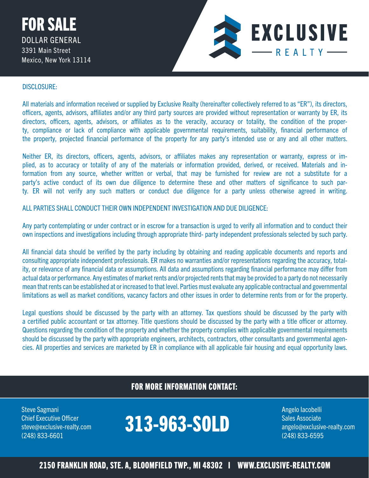

#### DISCLOSURE:

All materials and information received or supplied by Exclusive Realty (hereinafter collectively referred to as "ER"), its directors, officers, agents, advisors, affiliates and/or any third party sources are provided without representation or warranty by ER, its directors, officers, agents, advisors, or affiliates as to the veracity, accuracy or totality, the condition of the property, compliance or lack of compliance with applicable governmental requirements, suitability, financial performance of the property, projected financial performance of the property for any party's intended use or any and all other matters.

Neither ER, its directors, officers, agents, advisors, or affiliates makes any representation or warranty, express or implied, as to accuracy or totality of any of the materials or information provided, derived, or received. Materials and information from any source, whether written or verbal, that may be furnished for review are not a substitute for a party's active conduct of its own due diligence to determine these and other matters of significance to such party. ER will not verify any such matters or conduct due diligence for a party unless otherwise agreed in writing.

ALL PARTIES SHALL CONDUCT THEIR OWN INDEPENDENT INVESTIGATION AND DUE DILIGENCE:

Any party contemplating or under contract or in escrow for a transaction is urged to verify all information and to conduct their own inspections and investigations including through appropriate third- party independent professionals selected by such party.

All financial data should be verified by the party including by obtaining and reading applicable documents and reports and consulting appropriate independent professionals. ER makes no warranties and/or representations regarding the accuracy, totality, or relevance of any financial data or assumptions. All data and assumptions regarding financial performance may differ from actual data or performance. Any estimates of market rents and/or projected rents that may be provided to a party do not necessarily mean that rents can be established at or increased to that level. Parties must evaluate any applicable contractual and governmental limitations as well as market conditions, vacancy factors and other issues in order to determine rents from or for the property.

Legal questions should be discussed by the party with an attorney. Tax questions should be discussed by the party with a certified public accountant or tax attorney. Title questions should be discussed by the party with a title officer or attorney. Questions regarding the condition of the property and whether the property complies with applicable governmental requirements should be discussed by the party with appropriate engineers, architects, contractors, other consultants and governmental agencies. All properties and services are marketed by ER in compliance with all applicable fair housing and equal opportunity laws.

## FOR MORE INFORMATION CONTACT:

Steve Sagmani Angelo Iacobelli angelo Iacobelli angelo Iacobelli angelo Iacobelli angelo Iacobelli angelo Iacobelli (248) 833-6601 (248) 833-6595

## Chief Executive Officer<br>steve@exclusive-realty.com **313-963-SOLD** Sales Associate<br>(349) 933-CC01 Chief Executive Officer<br>steve@exclusive-realty.com **313-963-SOLD** Sales Associate<br>(349) 933 CC01

2150 FRANKLIN ROAD, STE. A, BLOOMFIELD TWP., MI 48302 I WWW.EXCLUSIVE-REALTY.COM